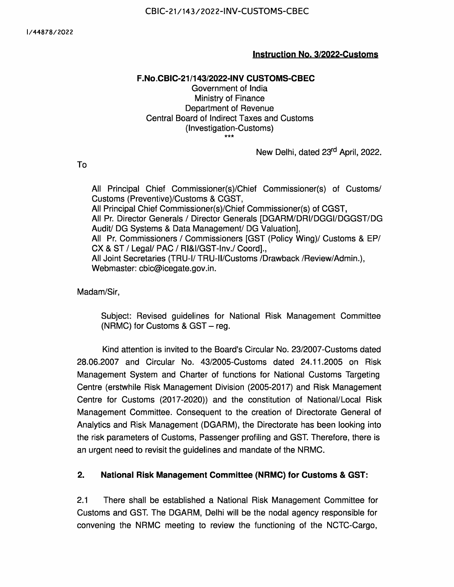### Instruction No. 3/2022-Customs

### F.No.CBIC-21/143/2022-INV CUSTOMS-CBEC

Government of India Ministry of Finance Department of Revenue Central Board of Indirect Taxes and Customs (Investigation-Customs) \*\*\*

New Delhi, dated 23<sup>rd</sup> April, 2022.

To

All Principal Chief Commissioner(s)/Chief Commissioner(s) of Customs/ Customs (Preventive)/Customs & CGST, All Principal Chief Commissioner(s)/Chief Commissioner(s) of CGST, All Pr. Director Generals / Director Generals [DGARM/DRI/DGGI/DGGST/DG Audit/ DG Systems & Data Management/ DG Valuation], All Pr. Commissioners / Commissioners [GST (Policy Wing)/ Customs & EP/ CX & ST / Legal/ PAC / RI&I/GST-Inv./ Coord]., All Joint Secretaries (TRU-I/ TRU-II/Customs /Drawback /Review/Admin.), Webmaster: cbic@icegate.gov.in.

Madan/Sir,

Subject: Revised guidelines for National Risk Management Committee (NRMC) for Customs & GST — reg.

Kind attention is invited to the Board's Circular No. 23/2007-Customs dated 28.06.2007 and Circular No. 43/2005-Customs dated 24.11.2005 on Risk Management System and Charter of functions for National Customs Targeting Centre (erstwhile Risk Management Division (2005-2017) and Risk Management Centre for Customs (2017-2020)) and the constitution of National/Local Risk Management Committee. Consequent to the creation of Directorate General of Analytics and Risk Management (DGARM), the Directorate has been looking into the risk parameters of Customs, Passenger profiling and GST. Therefore, there is an urgent need to revisit the guidelines and mandate of the NRMC.

## 2. National Risk Management Committee (NRMC) for Customs & GST:

2.1 There shall be established a National Risk Management Committee for Customs and GST. The DGARM, Delhi will be the nodal agency responsible for convening the NRMC meeting to review the functioning of the NCTC-Cargo,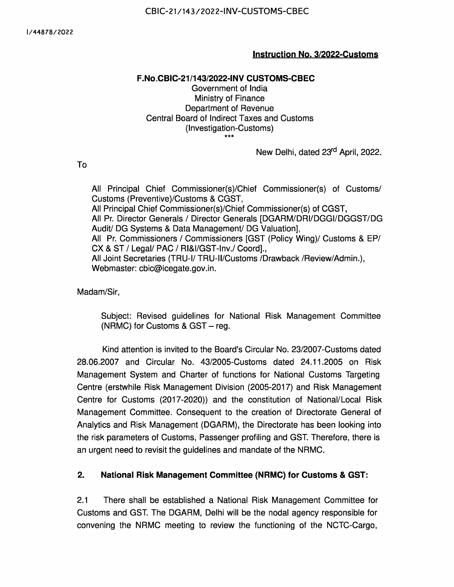NCTC(Pax) and the GST Business Analytics Wing. These wings under the DGARM will supervise the implementation and enhancement of RMS, APIS and the DGARM applications and provide feedback for improving the effectiveness of risk management and all related aspects. The NRMC will be a Standing Committee with the Member (Investigation), CBIC, as Chairman and Additional Director General, DGARM Hars, Delhi will the Member Secretary of the NRMC.

The Standing Committee members shall include —

- i. Pr./Director General Analytics and Risk Management (DGARM)
- ii. Pr/Director General, DGGST
- iii. Pr./DG Audit
- iv. Pr./Director General of Revenue Intelligence (DRI)
- v. Pr./Director General of Goods and Services Tax Intelligence (DGGI)
- vi. Pr./Director General of Systems & Data Management
- vii. Pr./Director General of Valuation (DGOV)
- viii. Commissioner, GST Policy Wing, CBIC
- ix. Joint Secretary (TRU), CBIC
- x. Joint Secretary (Customs),CBIC
- xi. Pr/Commissioner (Inv Cus), CBIC
- xii. Pr/Commissioner (Inv-GST), CBIC
- xiii. Pr/Additional Director General, NCTC (Pax), Delhi
- xiv. Pr/ Additional Director General, NCTC Cargo, Mumbai
- xv. Pr/ Additional Director General, DGARM , Mumbai
- xvi. Pr/Additional Director General (ICES), Directorate General of Systems
- xvii. Pr/Additional Director General (ACES/GST), Directorate General of **Systems**
- xviii. Pr/Chief Commissioner of Customs, Mumbai Zone-ll,
- xix. Pr/Chief Commissioner of GST, Bengaluru,
- xx. Pr/Chief Commissioner of Customs, Delhi

The Committee may also invite any other Pr/Chief Commissioner, Pr/Commissioner, as may be required.

2.2. \_The NRMC shall be convened once every year and will have the following main (but not limited to) functions:

i. Review the effectiveness of existing Risk Parameters employed in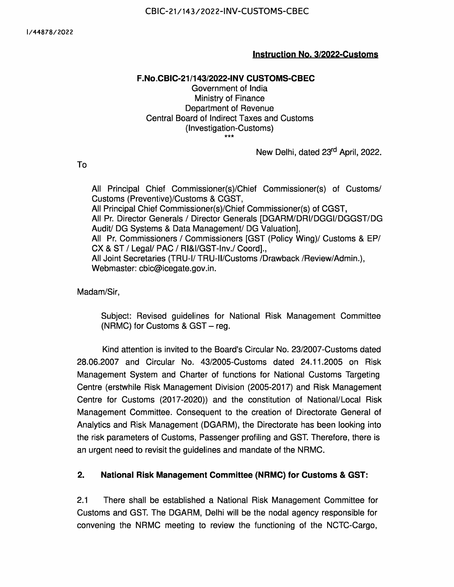various modules namely Import, Export, Container Scanning, Express Cargo Clearance System (ECCS), Post Clearance Audit (PCA), Protection and enforcement of Intellectual Property Rights (IPR) etc., and Risks posed by changes in Modus Operandi, new exemption notifications and new CCR's.

- . Review existing parameters and suggest new parameters to address concerns on border and port security.
- iii. Once NCTC(Pax) is operationalized, the NRMC shall look at incremental improvements to be made in the Automated Targeting System.
- . The Business Analytics wing of GST implements various modules e.g., Risky Exporters, Risky Taxpayers, Scrutiny of Returns, Audit, Analytical reports etc. The NRMC will advise on changes, if any, to be made in the various risk criteria that define the Risk in these modules.
- Deliberate and advise on new and emerging risks and suggest ways to address systemic risks, having cross-cutting implications.
- vi. Discuss new initiatives and projects for stepping up risk management strategy and associated processes, including the development of new modules and deployment of new technologies.
- vii. Be the Forum for giving feedback and suggestions on improving the efficacy of risk management.
- . Discuss and recommend measures for timely and effective risk mitigation by field formations.
- ix. Deliberate on economic trends, changes in policies, duty rates and exemptions, etc., that could be exploited by the trade to evade Duties and Prohibitions and suggest remedial action for the same.
- Discuss the efficacy of the Examination orders that would be made available shortly through the ICETAB, obviating the need for printing in the paper.
- Xi. Have an oversight on the generation of the centralised examination orders based on various parameters and its rollout in phases to enhance uniformity.
- Xil. To discuss and advise on enhanced use of technology, data sources and analytics capabilities to discern Security related Risks. Deliberate on use of Al/ML, Image analytics, geospatial analysis etc.
- xiii. To address security vulnerabilities in the International Supply Chain through entity profiling of stakeholders, leveraging information in databases about movement of vessels and containers etc.
- Xiv. Any other matter that DGARM may consider for seeking the views of